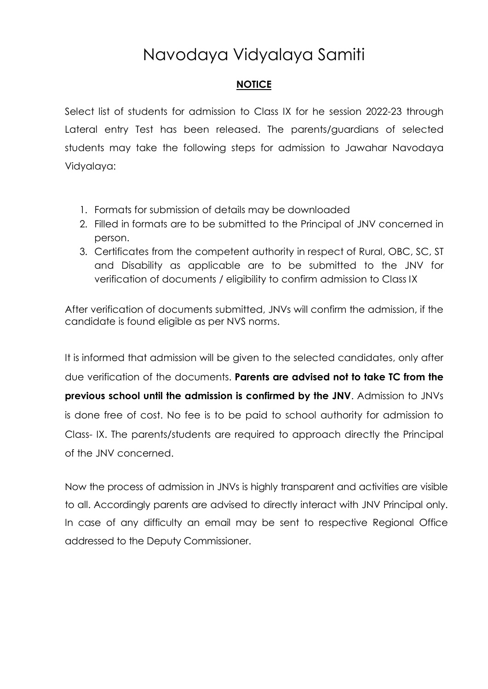# Navodaya Vidyalaya Samiti

### **NOTICE**

Select list of students for admission to Class IX for he session 2022-23 through Lateral entry Test has been released. The parents/guardians of selected students may take the following steps for admission to Jawahar Navodaya Vidyalaya:

- 1. Formats for submission of details may be downloaded
- 2. Filled in formats are to be submitted to the Principal of JNV concerned in person.
- 3. Certificates from the competent authority in respect of Rural, OBC, SC, ST and Disability as applicable are to be submitted to the JNV for verification of documents / eligibility to confirm admission to Class IX

After verification of documents submitted, JNVs will confirm the admission, if the candidate is found eligible as per NVS norms.

It is informed that admission will be given to the selected candidates, only after due verification of the documents. **Parents are advised not to take TC from the previous school until the admission is confirmed by the JNV**. Admission to JNVs is done free of cost. No fee is to be paid to school authority for admission to Class- IX. The parents/students are required to approach directly the Principal of the JNV concerned.

Now the process of admission in JNVs is highly transparent and activities are visible to all. Accordingly parents are advised to directly interact with JNV Principal only. In case of any difficulty an email may be sent to respective Regional Office addressed to the Deputy Commissioner.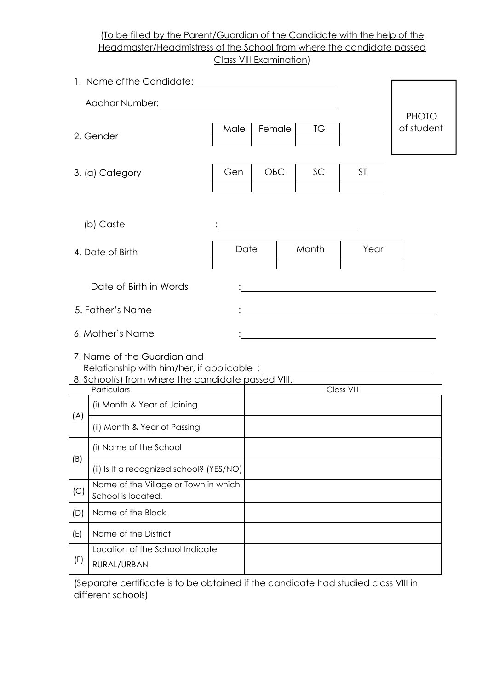### (To be filled by the Parent/Guardian of the Candidate with the help of the Headmaster/Headmistress of the School from where the candidate passed Class VIII Examination)

|                                                                                                                                                                                                                               | 1. Name of the Candidate: 1. 2008 1. 2009 1. 2009 1. 2010 1. 2010 1. 2010 1. 2010 1. 2010 1. 2010 1. 2010 1. 20 |      |            |    |                   |                            |  |  |  |  |
|-------------------------------------------------------------------------------------------------------------------------------------------------------------------------------------------------------------------------------|-----------------------------------------------------------------------------------------------------------------|------|------------|----|-------------------|----------------------------|--|--|--|--|
| Aadhar Number: National Analysis of the Aadhar Number of the Aastal Analysis of the Aastal Analysis of the Aastal Analysis of the Aastal Analysis of the Aastal Analysis of the Aastal Analysis of the Aastal Analysis of the |                                                                                                                 |      |            |    |                   |                            |  |  |  |  |
|                                                                                                                                                                                                                               | 2. Gender                                                                                                       | Male | Female     | TG |                   | <b>PHOTO</b><br>of student |  |  |  |  |
|                                                                                                                                                                                                                               | 3. (a) Category                                                                                                 | Gen  | <b>OBC</b> | SC | <b>ST</b>         |                            |  |  |  |  |
|                                                                                                                                                                                                                               | (b) Caste                                                                                                       |      |            |    |                   |                            |  |  |  |  |
|                                                                                                                                                                                                                               | 4. Date of Birth                                                                                                | Date | Month      |    |                   |                            |  |  |  |  |
| Date of Birth in Words                                                                                                                                                                                                        |                                                                                                                 |      |            |    |                   |                            |  |  |  |  |
|                                                                                                                                                                                                                               | 5. Father's Name                                                                                                |      |            |    |                   |                            |  |  |  |  |
|                                                                                                                                                                                                                               | 6. Mother's Name<br><u> 1980 - John Stein, Amerikaansk politiker (</u>                                          |      |            |    |                   |                            |  |  |  |  |
|                                                                                                                                                                                                                               | 7. Name of the Guardian and<br>8. School(s) from where the candidate passed VIII.                               |      |            |    |                   |                            |  |  |  |  |
|                                                                                                                                                                                                                               | Particulars<br>(i) Month & Year of Joining                                                                      |      |            |    | <b>Class VIII</b> |                            |  |  |  |  |
| (A)                                                                                                                                                                                                                           | (ii) Month & Year of Passing                                                                                    |      |            |    |                   |                            |  |  |  |  |
|                                                                                                                                                                                                                               | (i) Name of the School                                                                                          |      |            |    |                   |                            |  |  |  |  |
| (B)                                                                                                                                                                                                                           | (ii) Is It a recognized school? (YES/NO)                                                                        |      |            |    |                   |                            |  |  |  |  |
| (C)                                                                                                                                                                                                                           | Name of the Village or Town in which<br>School is located.                                                      |      |            |    |                   |                            |  |  |  |  |
| (D)                                                                                                                                                                                                                           | Name of the Block                                                                                               |      |            |    |                   |                            |  |  |  |  |
| (E)                                                                                                                                                                                                                           | Name of the District                                                                                            |      |            |    |                   |                            |  |  |  |  |
| (F)                                                                                                                                                                                                                           | Location of the School Indicate<br>RURAL/URBAN                                                                  |      |            |    |                   |                            |  |  |  |  |

(Separate certificate is to be obtained if the candidate had studied class VIII in different schools)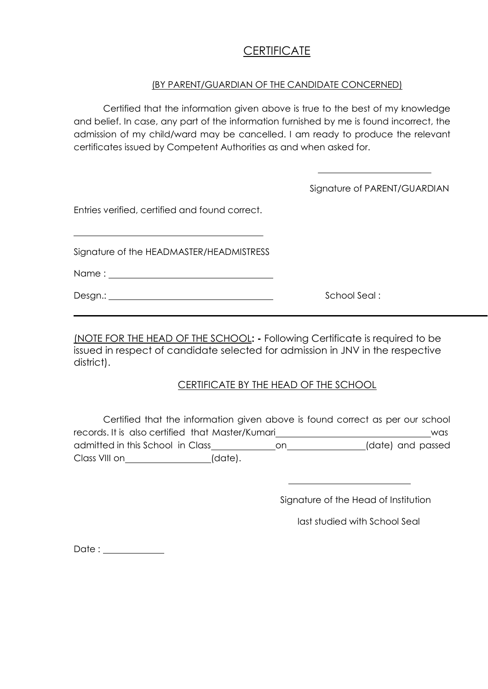# **CERTIFICATE**

### (BY PARENT/GUARDIAN OF THE CANDIDATE CONCERNED)

Certified that the information given above is true to the best of my knowledge and belief. In case, any part of the information furnished by me is found incorrect, the admission of my child/ward may be cancelled. I am ready to produce the relevant certificates issued by Competent Authorities as and when asked for.

|                                                | Signature of PARENT/GUARDIAN |
|------------------------------------------------|------------------------------|
| Entries verified, certified and found correct. |                              |
| Signature of the HEADMASTER/HEADMISTRESS       |                              |
|                                                |                              |
|                                                | School Seal:                 |

(NOTE FOR THE HEAD OF THE SCHOOL**: -** Following Certificate is required to be issued in respect of candidate selected for admission in JNV in the respective district).

### CERTIFICATE BY THE HEAD OF THE SCHOOL

Certified that the information given above is found correct as per our school records. It is also certified that Master/Kumari was admitted in this School in Class\_\_\_\_\_\_\_\_\_\_\_\_\_\_\_\_\_\_\_\_\_\_\_\_\_\_\_\_\_\_\_(date) and passed Class VIII on (date).

Signature of the Head of Institution

last studied with School Seal

Date :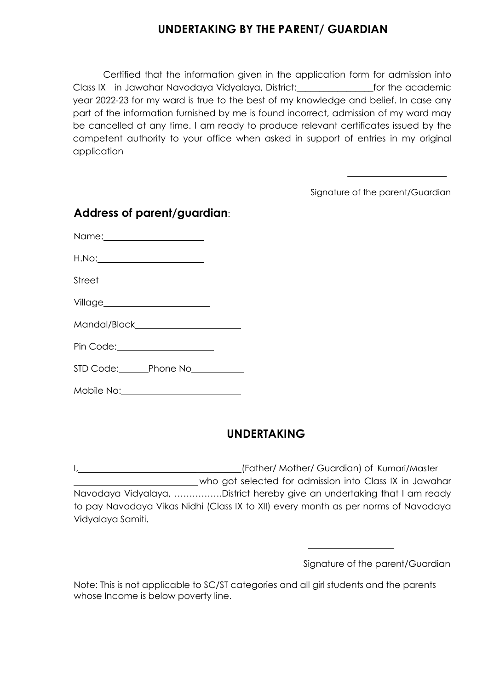# **UNDERTAKING BY THE PARENT/ GUARDIAN**

Certified that the information given in the application form for admission into Class IX in Jawahar Navodaya Vidyalaya, District:\_\_\_\_\_\_\_\_\_\_\_\_\_\_\_\_\_for the academic year 2022-23 for my ward is true to the best of my knowledge and belief. In case any part of the information furnished by me is found incorrect, admission of my ward may be cancelled at any time. I am ready to produce relevant certificates issued by the competent authority to your office when asked in support of entries in my original application

Signature of the parent/Guardian

| Name:_______________________             |  |
|------------------------------------------|--|
|                                          |  |
| Street_________________________          |  |
| Village_________________________         |  |
|                                          |  |
| Pin Code:_____________________           |  |
| STD Code: Phone No<br>Fig. 0.12 Phone No |  |
| Mobile No:                               |  |

# **Address of parent/guardian**:

# **UNDERTAKING**

I, \_\_\_\_\_\_\_\_\_\_\_\_\_\_\_\_\_\_\_\_\_\_\_\_\_\_\_\_\_\_\_\_(Father/ Mother/ Guardian) of Kumari/Master who got selected for admission into Class IX in Jawahar Navodaya Vidyalaya, …………….District hereby give an undertaking that I am ready to pay Navodaya Vikas Nidhi (Class IX to XII) every month as per norms of Navodaya Vidyalaya Samiti.

Signature of the parent/Guardian

Note: This is not applicable to SC/ST categories and all girl students and the parents whose Income is below poverty line.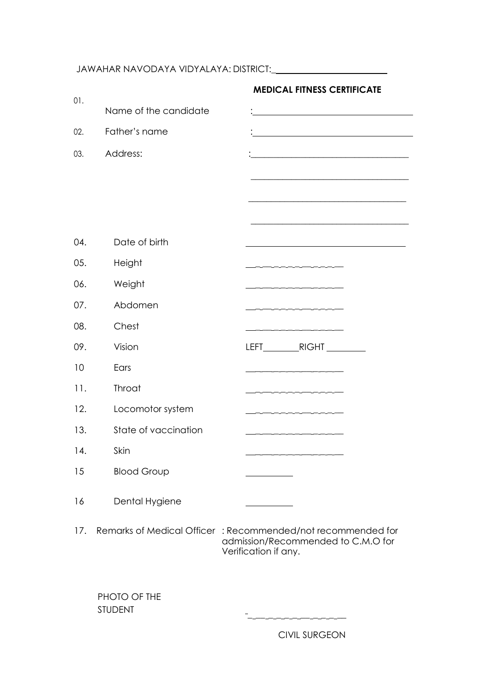# JAWAHAR NAVODAYA VIDYALAYA: DISTRICT:\_

|     |                                                             | <b>MEDICAL FITNESS CERTIFICATE</b>                                                                                    |  |
|-----|-------------------------------------------------------------|-----------------------------------------------------------------------------------------------------------------------|--|
| 01. | Name of the candidate                                       |                                                                                                                       |  |
| 02. | Father's name                                               | <u> 1989 - Johann Barn, amerikansk politiker (</u>                                                                    |  |
| 03. | Address:                                                    | <u> 1989 - Johann Harry Harry Harry Harry Harry Harry Harry Harry Harry Harry Harry Harry Harry Harry Harry Harry</u> |  |
|     |                                                             |                                                                                                                       |  |
|     |                                                             |                                                                                                                       |  |
|     |                                                             |                                                                                                                       |  |
| 04. | Date of birth                                               |                                                                                                                       |  |
| 05. | Height                                                      |                                                                                                                       |  |
| 06. | Weight                                                      |                                                                                                                       |  |
| 07. | Abdomen                                                     |                                                                                                                       |  |
| 08. | Chest                                                       |                                                                                                                       |  |
| 09. | Vision                                                      |                                                                                                                       |  |
| 10  | Ears                                                        |                                                                                                                       |  |
| 11. | Throat                                                      |                                                                                                                       |  |
| 12. | Locomotor system                                            |                                                                                                                       |  |
| 13. | State of vaccination                                        |                                                                                                                       |  |
| 14. | Skin                                                        |                                                                                                                       |  |
| 15  | <b>Blood Group</b>                                          |                                                                                                                       |  |
| 16  | Dental Hygiene                                              |                                                                                                                       |  |
| 17. | Remarks of Medical Officer: Recommended/not recommended for | admission/Recommended to C.M.O for<br>Verification if any.                                                            |  |

PHOTO OF THE STUDENT

CIVIL SURGEON

\_ \_\_ \_ \_ \_ \_ \_\_ \_ \_ \_ \_\_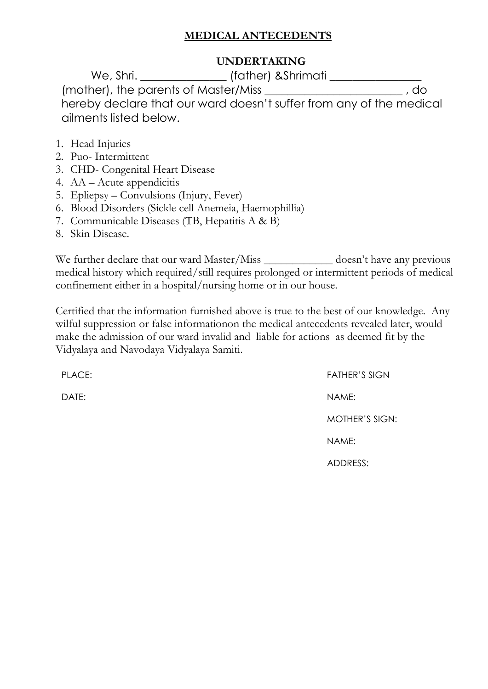## **MEDICAL ANTECEDENTS**

### **UNDERTAKING**

We, Shri. \_\_\_\_\_\_\_\_\_\_\_\_\_\_\_ (father) &Shrimati \_\_\_\_\_\_\_\_\_\_\_\_\_\_\_\_ (mother), the parents of Master/Miss \_\_\_\_\_\_\_\_\_\_\_\_\_\_\_\_\_\_\_\_\_\_\_\_ , do hereby declare that our ward doesn't suffer from any of the medical ailments listed below.

- 1. Head Injuries
- 2. Puo- Intermittent
- 3. CHD- Congenital Heart Disease
- 4. AA Acute appendicitis
- 5. Epliepsy Convulsions (Injury, Fever)
- 6. Blood Disorders (Sickle cell Anemeia, Haemophillia)
- 7. Communicable Diseases (TB, Hepatitis A & B)
- 8. Skin Disease.

We further declare that our ward Master/Miss \_\_\_\_\_\_\_\_\_\_\_\_ doesn't have any previous medical history which required/still requires prolonged or intermittent periods of medical confinement either in a hospital/nursing home or in our house.

Certified that the information furnished above is true to the best of our knowledge. Any wilful suppression or false informationon the medical antecedents revealed later, would make the admission of our ward invalid and liable for actions as deemed fit by the Vidyalaya and Navodaya Vidyalaya Samiti.

PLACE: FATHER'S SIGN DATE: NAME: MOTHER'S SIGN: NAME: ADDRESS: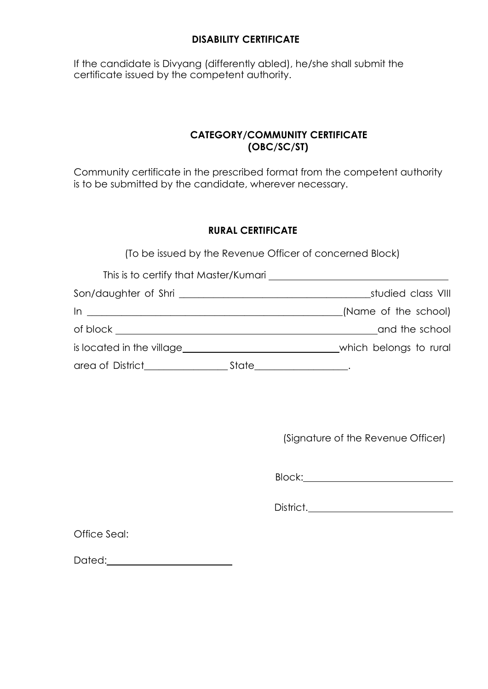### **DISABILITY CERTIFICATE**

If the candidate is Divyang (differently abled), he/she shall submit the certificate issued by the competent authority.

### **CATEGORY/COMMUNITY CERTIFICATE (OBC/SC/ST)**

Community certificate in the prescribed format from the competent authority is to be submitted by the candidate, wherever necessary.

### **RURAL CERTIFICATE**

(To be issued by the Revenue Officer of concerned Block)

| This is to certify that Master/Kumari                                                                                                                                                                                                                                                                     |                        |
|-----------------------------------------------------------------------------------------------------------------------------------------------------------------------------------------------------------------------------------------------------------------------------------------------------------|------------------------|
|                                                                                                                                                                                                                                                                                                           | studied class VIII     |
| $\ln$ $\frac{1}{2}$ $\ln$ $\frac{1}{2}$ $\ln$ $\frac{1}{2}$ $\ln$ $\frac{1}{2}$ $\ln$ $\frac{1}{2}$ $\ln$ $\frac{1}{2}$ $\ln$ $\frac{1}{2}$ $\ln$ $\frac{1}{2}$ $\ln$ $\frac{1}{2}$ $\ln$ $\frac{1}{2}$ $\ln$ $\frac{1}{2}$ $\ln$ $\frac{1}{2}$ $\ln$ $\frac{1}{2}$ $\ln$ $\frac{1}{2}$ $\ln$ $\frac{1}{$ | (Name of the school)   |
| of block                                                                                                                                                                                                                                                                                                  | and the school         |
| is located in the village                                                                                                                                                                                                                                                                                 | which belongs to rural |
| area of District___________<br>State                                                                                                                                                                                                                                                                      |                        |

(Signature of the Revenue Officer)

Block:

District.

Office Seal:

Dated: **Dated:**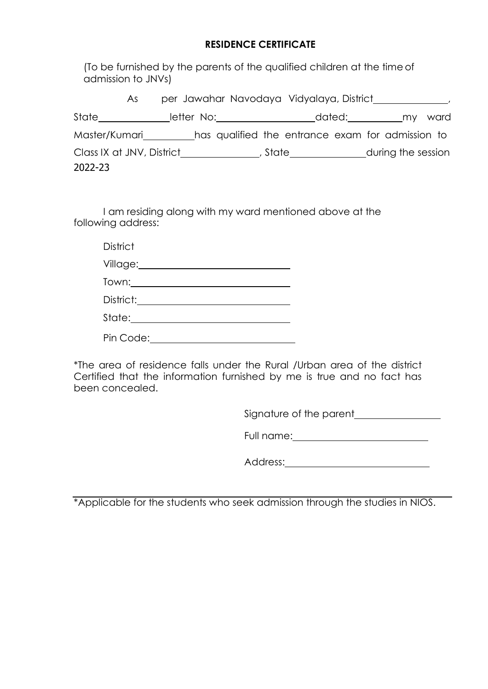### **RESIDENCE CERTIFICATE**

(To be furnished by the parents of the qualified children at the time of admission to JNVs)

|                           | As. |            |  | per Jawahar Navodaya Vidyalaya, District                                                                        |        |                    |      |  |
|---------------------------|-----|------------|--|-----------------------------------------------------------------------------------------------------------------|--------|--------------------|------|--|
| State                     |     | letter No: |  |                                                                                                                 | dated: | my.                | ward |  |
| Master/Kumari             |     |            |  | has qualified the entrance exam for admission to                                                                |        |                    |      |  |
| Class IX at JNV, District |     |            |  | , State in the state of the state of the state of the state of the state of the state of the state of the state |        | during the session |      |  |
| 2022-23                   |     |            |  |                                                                                                                 |        |                    |      |  |

I am residing along with my ward mentioned above at the following address:

**District** 

| Village: |  |  |
|----------|--|--|
|          |  |  |

Town: District: Letters and the set of the set of the set of the set of the set of the set of the set of the set of the set of the set of the set of the set of the set of the set of the set of the set of the set of the set of th

Pin Code:

\*The area of residence falls under the Rural /Urban area of the district Certified that the information furnished by me is true and no fact has been concealed.

Signature of the parent

Full name:

Address:

\*Applicable for the students who seek admission through the studies in NIOS.